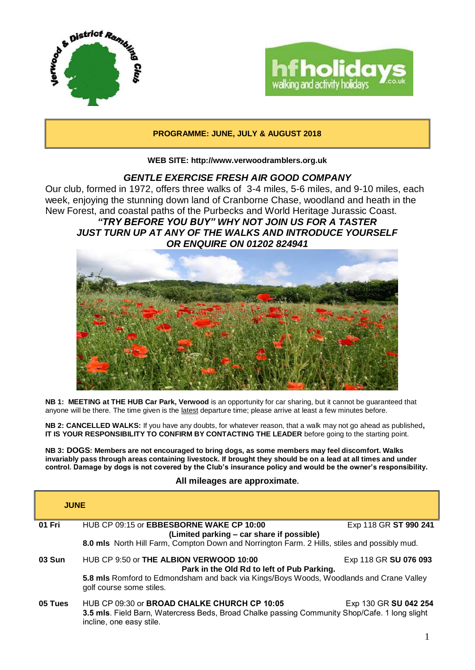



# **PROGRAMME: JUNE, JULY & AUGUST 2018**

**WEB SITE: http://www.verwoodramblers.org.uk**

# *GENTLE EXERCISE FRESH AIR GOOD COMPANY*

Our club, formed in 1972, offers three walks of 3-4 miles, 5-6 miles, and 9-10 miles, each week, enjoying the stunning down land of Cranborne Chase, woodland and heath in the New Forest, and coastal paths of the Purbecks and World Heritage Jurassic Coast.

*"TRY BEFORE YOU BUY" WHY NOT JOIN US FOR A TASTER JUST TURN UP AT ANY OF THE WALKS AND INTRODUCE YOURSELF OR ENQUIRE ON 01202 824941*



**NB 1: MEETING at THE HUB Car Park, Verwood** is an opportunity for car sharing, but it cannot be guaranteed that anyone will be there. The time given is the latest departure time; please arrive at least a few minutes before.

**NB 2: CANCELLED WALKS:** If you have any doubts, for whatever reason, that a walk may not go ahead as published**, IT IS YOUR RESPONSIBILITY TO CONFIRM BY CONTACTING THE LEADER** before going to the starting point.

**NB 3: DOGS: Members are not encouraged to bring dogs, as some members may feel discomfort. Walks invariably pass through areas containing livestock. If brought they should be on a lead at all times and under control. Damage by dogs is not covered by the Club's insurance policy and would be the owner's responsibility.**

## **All mileages are approximate.**

| <b>JUNE</b> |                                                                                                                                                                                  |                       |  |
|-------------|----------------------------------------------------------------------------------------------------------------------------------------------------------------------------------|-----------------------|--|
| 01 Fri      | HUB CP 09:15 or <b>EBBESBORNE WAKE CP 10:00</b><br>(Limited parking - car share if possible)                                                                                     | Exp 118 GR ST 990 241 |  |
|             | 8.0 mls North Hill Farm, Compton Down and Norrington Farm. 2 Hills, stiles and possibly mud.                                                                                     |                       |  |
| 03 Sun      | HUB CP 9:50 or THE ALBION VERWOOD 10:00<br>Park in the Old Rd to left of Pub Parking.                                                                                            | Exp 118 GR SU 076 093 |  |
|             | 5.8 mls Romford to Edmondsham and back via Kings/Boys Woods, Woodlands and Crane Valley<br>golf course some stiles.                                                              |                       |  |
| 05 Tues     | HUB CP 09:30 or <b>BROAD CHALKE CHURCH CP 10:05</b><br>3.5 mls. Field Barn, Watercress Beds, Broad Chalke passing Community Shop/Cafe. 1 long slight<br>incline, one easy stile. | Exp 130 GR SU 042 254 |  |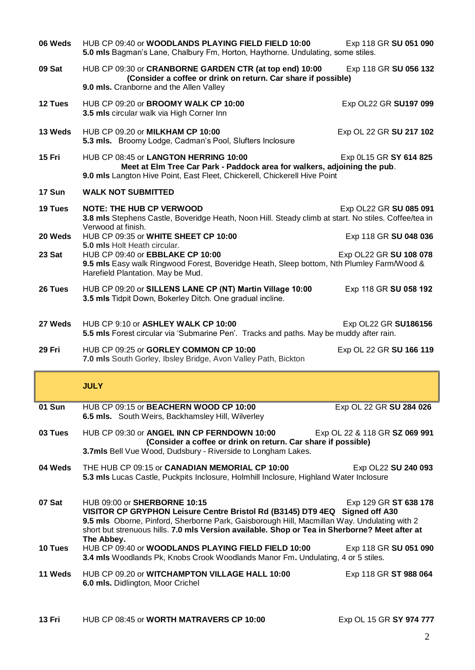| 06 Weds       | HUB CP 09:40 or WOODLANDS PLAYING FIELD FIELD 10:00<br>5.0 mls Bagman's Lane, Chalbury Fm, Horton, Haythorne. Undulating, some stiles.                                                                                                                                                                      | Exp 118 GR SU 051 090         |  |
|---------------|-------------------------------------------------------------------------------------------------------------------------------------------------------------------------------------------------------------------------------------------------------------------------------------------------------------|-------------------------------|--|
| 09 Sat        | HUB CP 09:30 or CRANBORNE GARDEN CTR (at top end) 10:00<br>Exp 118 GR SU 056 132<br>(Consider a coffee or drink on return. Car share if possible)<br>9.0 mls. Cranborne and the Allen Valley                                                                                                                |                               |  |
| 12 Tues       | HUB CP 09:20 or BROOMY WALK CP 10:00<br>3.5 mls circular walk via High Corner Inn                                                                                                                                                                                                                           | Exp OL22 GR SU197 099         |  |
| 13 Weds       | HUB CP 09.20 or MILKHAM CP 10:00<br>5.3 mls. Broomy Lodge, Cadman's Pool, Slufters Inclosure                                                                                                                                                                                                                | Exp OL 22 GR SU 217 102       |  |
| <b>15 Fri</b> | HUB CP 08:45 or LANGTON HERRING 10:00<br>Exp 0L15 GR SY 614 825<br>Meet at Elm Tree Car Park - Paddock area for walkers, adjoining the pub.<br>9.0 mls Langton Hive Point, East Fleet, Chickerell, Chickerell Hive Point                                                                                    |                               |  |
| 17 Sun        | <b>WALK NOT SUBMITTED</b>                                                                                                                                                                                                                                                                                   |                               |  |
| 19 Tues       | <b>NOTE: THE HUB CP VERWOOD</b><br>3.8 mls Stephens Castle, Boveridge Heath, Noon Hill. Steady climb at start. No stiles. Coffee/tea in<br>Verwood at finish.                                                                                                                                               | Exp OL22 GR SU 085 091        |  |
| 20 Weds       | HUB CP 09:35 or WHITE SHEET CP 10:00<br>5.0 mls Holt Heath circular.                                                                                                                                                                                                                                        | Exp 118 GR SU 048 036         |  |
| 23 Sat        | HUB CP 09:40 or EBBLAKE CP 10:00<br>Exp OL22 GR SU 108 078<br>9.5 mls Easy walk Ringwood Forest, Boveridge Heath, Sleep bottom, Nth Plumley Farm/Wood &<br>Harefield Plantation. May be Mud.                                                                                                                |                               |  |
| 26 Tues       | HUB CP 09:20 or SILLENS LANE CP (NT) Martin Village 10:00<br>3.5 mls Tidpit Down, Bokerley Ditch. One gradual incline.                                                                                                                                                                                      | Exp 118 GR SU 058 192         |  |
| 27 Weds       | HUB CP 9:10 or ASHLEY WALK CP 10:00                                                                                                                                                                                                                                                                         | Exp OL22 GR SU186156          |  |
|               | 5.5 mls Forest circular via 'Submarine Pen'. Tracks and paths. May be muddy after rain.                                                                                                                                                                                                                     |                               |  |
| 29 Fri        | HUB CP 09:25 or GORLEY COMMON CP 10:00<br>7.0 mls South Gorley, Ibsley Bridge, Avon Valley Path, Bickton                                                                                                                                                                                                    | Exp OL 22 GR SU 166 119       |  |
|               | <b>JULY</b>                                                                                                                                                                                                                                                                                                 |                               |  |
| 01 Sun        | HUB CP 09:15 or BEACHERN WOOD CP 10:00<br>6.5 mls. South Weirs, Backhamsley Hill, Wilverley                                                                                                                                                                                                                 | Exp OL 22 GR SU 284 026       |  |
| 03 Tues       | HUB CP 09:30 or ANGEL INN CP FERNDOWN 10:00<br>(Consider a coffee or drink on return. Car share if possible)                                                                                                                                                                                                | Exp OL 22 & 118 GR SZ 069 991 |  |
|               | 3.7mls Bell Vue Wood, Dudsbury - Riverside to Longham Lakes.                                                                                                                                                                                                                                                |                               |  |
| 04 Weds       | THE HUB CP 09:15 or CANADIAN MEMORIAL CP 10:00<br>5.3 mls Lucas Castle, Puckpits Inclosure, Holmhill Inclosure, Highland Water Inclosure                                                                                                                                                                    | Exp OL22 SU 240 093           |  |
| 07 Sat        | HUB 09:00 or SHERBORNE 10:15<br>VISITOR CP GRYPHON Leisure Centre Bristol Rd (B3145) DT9 4EQ Signed off A30<br>9.5 mls Oborne, Pinford, Sherborne Park, Gaisborough Hill, Macmillan Way. Undulating with 2<br>short but strenuous hills. 7.0 mls Version available. Shop or Tea in Sherborne? Meet after at | Exp 129 GR ST 638 178         |  |
| 10 Tues       | The Abbey.<br>HUB CP 09:40 or WOODLANDS PLAYING FIELD FIELD 10:00<br>3.4 mls Woodlands Pk, Knobs Crook Woodlands Manor Fm. Undulating, 4 or 5 stiles.                                                                                                                                                       | Exp 118 GR SU 051 090         |  |
| 11 Weds       | HUB CP 09.20 or WITCHAMPTON VILLAGE HALL 10:00<br>6.0 mls. Didlington, Moor Crichel                                                                                                                                                                                                                         | Exp 118 GR ST 988 064         |  |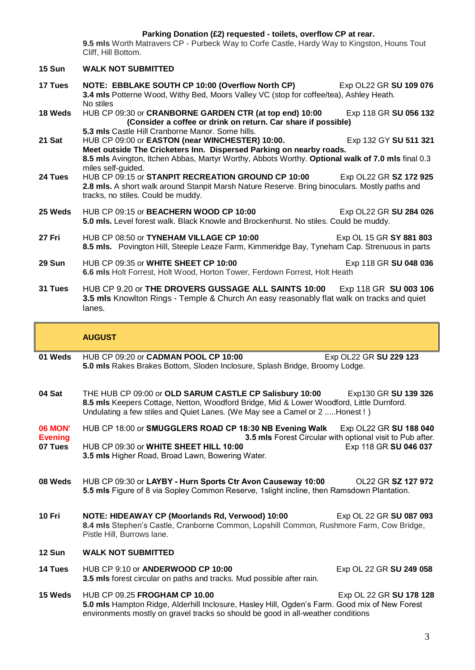### **Parking Donation (£2) requested - toilets, overflow CP at rear.**

**9.5 mls** Worth Matravers CP - Purbeck Way to Corfe Castle, Hardy Way to Kingston, Houns Tout Cliff, Hill Bottom.

| 15 Sun                                      | <b>WALK NOT SUBMITTED</b>                                                                                                                                                                                                                                                                                                                     |  |  |  |
|---------------------------------------------|-----------------------------------------------------------------------------------------------------------------------------------------------------------------------------------------------------------------------------------------------------------------------------------------------------------------------------------------------|--|--|--|
| 17 Tues                                     | NOTE: EBBLAKE SOUTH CP 10:00 (Overflow North CP)<br>Exp OL22 GR SU 109 076<br>3.4 mls Potterne Wood, Withy Bed, Moors Valley VC (stop for coffee/tea), Ashley Heath.<br>No stiles                                                                                                                                                             |  |  |  |
| 18 Weds                                     | HUB CP 09:30 or CRANBORNE GARDEN CTR (at top end) 10:00<br>Exp 118 GR SU 056 132<br>(Consider a coffee or drink on return. Car share if possible)                                                                                                                                                                                             |  |  |  |
| 21 Sat                                      | 5.3 mls Castle Hill Cranborne Manor. Some hills.<br>HUB CP 09:00 or EASTON (near WINCHESTER) 10:00.<br>Exp 132 GY SU 511 321<br>Meet outside The Cricketers Inn. Dispersed Parking on nearby roads.                                                                                                                                           |  |  |  |
| 24 Tues                                     | 8.5 mls Avington, Itchen Abbas, Martyr Worthy, Abbots Worthy. Optional walk of 7.0 mls final 0.3<br>miles self-guided.<br>HUB CP 09:15 or STANPIT RECREATION GROUND CP 10:00<br>Exp OL22 GR SZ 172 925<br>2.8 mls. A short walk around Stanpit Marsh Nature Reserve. Bring binoculars. Mostly paths and<br>tracks, no stiles. Could be muddy. |  |  |  |
| 25 Weds                                     | HUB CP 09:15 or BEACHERN WOOD CP 10:00<br>Exp OL22 GR SU 284 026<br>5.0 mls. Level forest walk. Black Knowle and Brockenhurst. No stiles. Could be muddy.                                                                                                                                                                                     |  |  |  |
| 27 Fri                                      | HUB CP 08:50 or TYNEHAM VILLAGE CP 10:00<br>Exp OL 15 GR SY 881 803<br>8.5 mls. Povington Hill, Steeple Leaze Farm, Kimmeridge Bay, Tyneham Cap. Strenuous in parts                                                                                                                                                                           |  |  |  |
| 29 Sun                                      | HUB CP 09:35 or WHITE SHEET CP 10:00<br>Exp 118 GR SU 048 036<br>6.6 mls Holt Forrest, Holt Wood, Horton Tower, Ferdown Forrest, Holt Heath                                                                                                                                                                                                   |  |  |  |
| 31 Tues                                     | HUB CP 9.20 or THE DROVERS GUSSAGE ALL SAINTS 10:00<br>Exp 118 GR SU 003 106<br>3.5 mls Knowlton Rings - Temple & Church An easy reasonably flat walk on tracks and quiet<br>lanes.                                                                                                                                                           |  |  |  |
|                                             | <b>AUGUST</b>                                                                                                                                                                                                                                                                                                                                 |  |  |  |
|                                             |                                                                                                                                                                                                                                                                                                                                               |  |  |  |
| 01 Weds                                     | HUB CP 09:20 or CADMAN POOL CP 10:00<br>Exp OL22 GR SU 229 123<br>5.0 mls Rakes Brakes Bottom, Sloden Inclosure, Splash Bridge, Broomy Lodge.                                                                                                                                                                                                 |  |  |  |
| 04 Sat                                      | THE HUB CP 09:00 or OLD SARUM CASTLE CP Salisbury 10:00 Exp130 GR SU 139 326<br>8.5 mls Keepers Cottage, Netton, Woodford Bridge, Mid & Lower Woodford, Little Durnford.<br>Undulating a few stiles and Quiet Lanes. (We May see a Camel or 2  Honest !)                                                                                      |  |  |  |
| <b>06 MON'</b><br><b>Evening</b><br>07 Tues | HUB CP 18:00 or SMUGGLERS ROAD CP 18:30 NB Evening Walk<br>Exp OL22 GR SU 188 040<br>3.5 mls Forest Circular with optional visit to Pub after.<br>HUB CP 09:30 or WHITE SHEET HILL 10:00<br>Exp 118 GR SU 046 037<br>3.5 mls Higher Road, Broad Lawn, Bowering Water.                                                                         |  |  |  |
| 08 Weds                                     | HUB CP 09:30 or LAYBY - Hurn Sports Ctr Avon Causeway 10:00<br>OL22 GR SZ 127 972<br>5.5 mls Figure of 8 via Sopley Common Reserve, 1slight incline, then Ramsdown Plantation.                                                                                                                                                                |  |  |  |
| 10 Fri                                      | NOTE: HIDEAWAY CP (Moorlands Rd, Verwood) 10:00<br>Exp OL 22 GR SU 087 093<br>8.4 mls Stephen's Castle, Cranborne Common, Lopshill Common, Rushmore Farm, Cow Bridge,<br>Pistle Hill, Burrows lane.                                                                                                                                           |  |  |  |
| 12 Sun                                      | <b>WALK NOT SUBMITTED</b>                                                                                                                                                                                                                                                                                                                     |  |  |  |
| 14 Tues                                     | HUB CP 9:10 or ANDERWOOD CP 10:00<br>Exp OL 22 GR SU 249 058<br>3.5 mls forest circular on paths and tracks. Mud possible after rain.                                                                                                                                                                                                         |  |  |  |